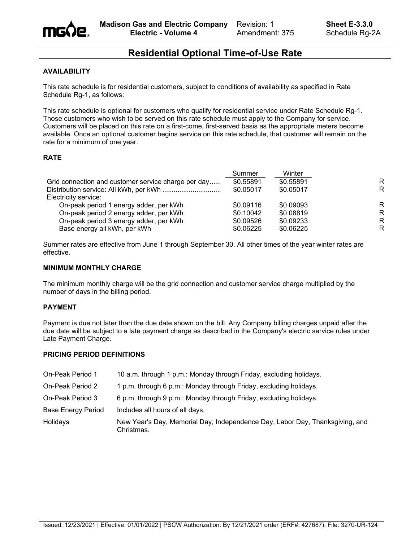

Revision: 1 Amendment: 375

## **Residential Optional Time-of-Use Rate**

### **AVAILABILITY**

This rate schedule is for residential customers, subject to conditions of availability as specified in Rate Schedule Rg-1, as follows:

This rate schedule is optional for customers who qualify for residential service under Rate Schedule Rg-1. Those customers who wish to be served on this rate schedule must apply to the Company for service. Customers will be placed on this rate on a first-come, first-served basis as the appropriate meters become available. Once an optional customer begins service on this rate schedule, that customer will remain on the rate for a minimum of one year.

### **RATE**

|                                                     | Summer    | Winter    |    |
|-----------------------------------------------------|-----------|-----------|----|
| Grid connection and customer service charge per day | \$0.55891 | \$0.55891 | R. |
|                                                     | \$0.05017 | \$0.05017 | R  |
| Electricity service:                                |           |           |    |
| On-peak period 1 energy adder, per kWh              | \$0.09116 | \$0.09093 | R  |
| On-peak period 2 energy adder, per kWh              | \$0.10042 | \$0.08819 | R  |
| On-peak period 3 energy adder, per kWh              | \$0.09526 | \$0.09233 | R  |
| Base energy all kWh, per kWh                        | \$0.06225 | \$0.06225 | R  |

Summer rates are effective from June 1 through September 30. All other times of the year winter rates are effective.

### **MINIMUM MONTHLY CHARGE**

The minimum monthly charge will be the grid connection and customer service charge multiplied by the number of days in the billing period.

#### **PAYMENT**

Payment is due not later than the due date shown on the bill. Any Company billing charges unpaid after the due date will be subject to a late payment charge as described in the Company's electric service rules under Late Payment Charge.

### **PRICING PERIOD DEFINITIONS**

| On-Peak Period 1   | 10 a.m. through 1 p.m.: Monday through Friday, excluding holidays.                         |
|--------------------|--------------------------------------------------------------------------------------------|
| On-Peak Period 2   | 1 p.m. through 6 p.m.: Monday through Friday, excluding holidays.                          |
| On-Peak Period 3   | 6 p.m. through 9 p.m.: Monday through Friday, excluding holidays.                          |
| Base Energy Period | Includes all hours of all days.                                                            |
| Holidays           | New Year's Day, Memorial Day, Independence Day, Labor Day, Thanksgiving, and<br>Christmas. |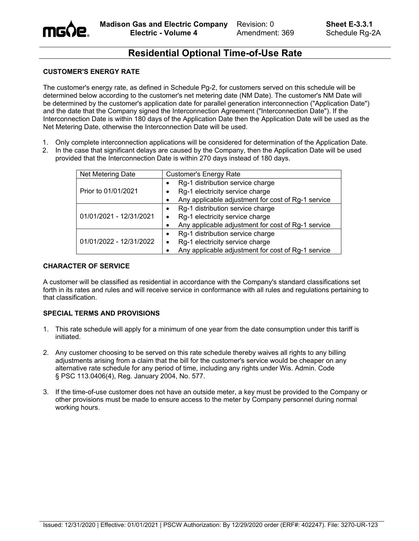# **Residential Optional Time-of-Use Rate**

### **CUSTOMER'S ENERGY RATE**

The customer's energy rate, as defined in Schedule Pg-2, for customers served on this schedule will be determined below according to the customer's net metering date (NM Date). The customer's NM Date will be determined by the customer's application date for parallel generation interconnection ("Application Date") and the date that the Company signed the Interconnection Agreement ("Interconnection Date"). If the Interconnection Date is within 180 days of the Application Date then the Application Date will be used as the Net Metering Date, otherwise the Interconnection Date will be used.

- 1. Only complete interconnection applications will be considered for determination of the Application Date.
- 2. In the case that significant delays are caused by the Company, then the Application Date will be used provided that the Interconnection Date is within 270 days instead of 180 days.

| Net Metering Date       | <b>Customer's Energy Rate</b>                           |  |
|-------------------------|---------------------------------------------------------|--|
| Prior to 01/01/2021     | Rg-1 distribution service charge                        |  |
|                         | Rg-1 electricity service charge<br>٠                    |  |
|                         | Any applicable adjustment for cost of Rg-1 service<br>٠ |  |
| 01/01/2021 - 12/31/2021 | Rg-1 distribution service charge<br>$\bullet$           |  |
|                         | Rg-1 electricity service charge<br>$\bullet$            |  |
|                         | Any applicable adjustment for cost of Rg-1 service      |  |
| 01/01/2022 - 12/31/2022 | Rg-1 distribution service charge<br>$\bullet$           |  |
|                         | Rg-1 electricity service charge<br>$\bullet$            |  |
|                         | Any applicable adjustment for cost of Rg-1 service      |  |

### **CHARACTER OF SERVICE**

A customer will be classified as residential in accordance with the Company's standard classifications set forth in its rates and rules and will receive service in conformance with all rules and regulations pertaining to that classification.

## **SPECIAL TERMS AND PROVISIONS**

- 1. This rate schedule will apply for a minimum of one year from the date consumption under this tariff is initiated.
- 2. Any customer choosing to be served on this rate schedule thereby waives all rights to any billing adjustments arising from a claim that the bill for the customer's service would be cheaper on any alternative rate schedule for any period of time, including any rights under Wis. Admin. Code § PSC 113.0406(4), Reg. January 2004, No. 577.
- 3. If the time-of-use customer does not have an outside meter, a key must be provided to the Company or other provisions must be made to ensure access to the meter by Company personnel during normal working hours.